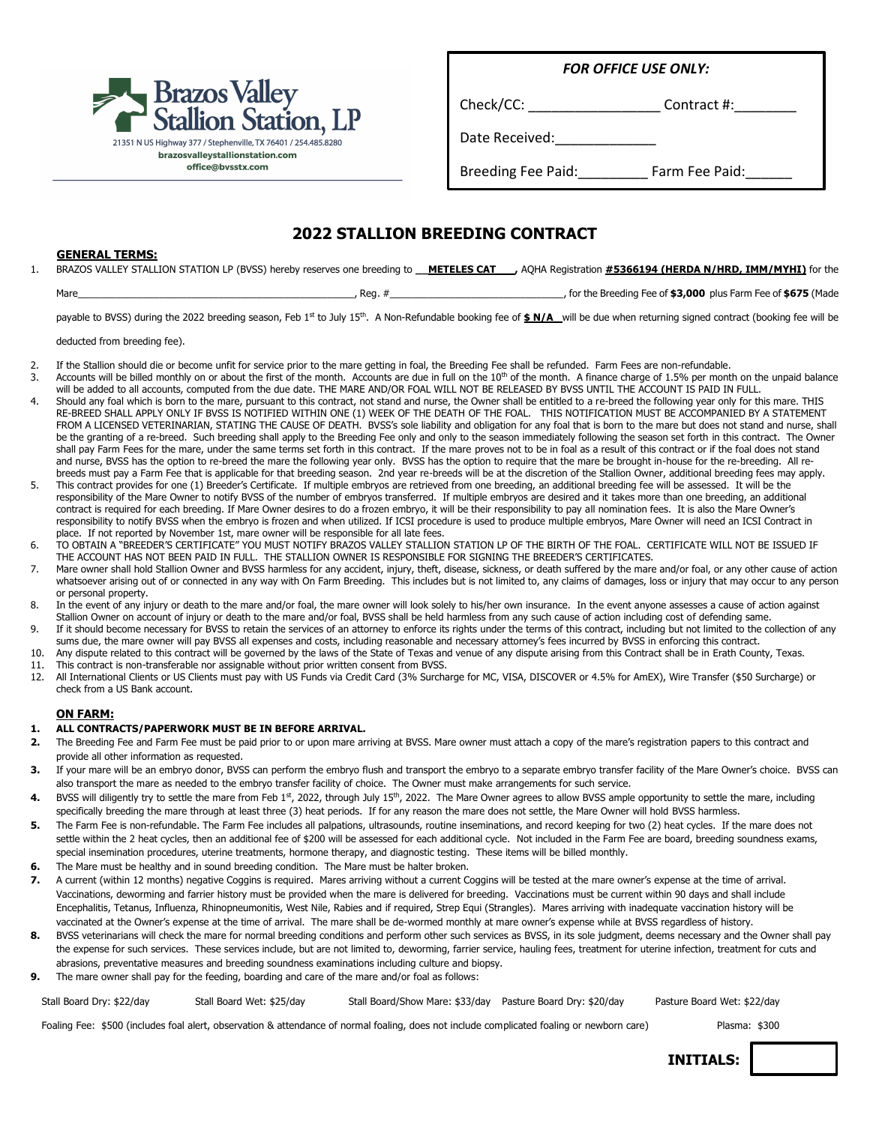

*FOR OFFICE USE ONLY:*

Check/CC: Check/CC:

Date Received:\_\_\_\_\_\_\_\_\_\_\_\_\_

Breeding Fee Paid: Farm Fee Paid:

### **2022 STALLION BREEDING CONTRACT**

#### **GENERAL TERMS:**

1. BRAZOS VALLEY STALLION STATION LP (BVSS) hereby reserves one breeding to **\_\_METELES CAT\_\_\_,** AQHA Registration **#5366194 (HERDA N/HRD, IMM/MYHI)** for the

| , for the Breeding Fee of \$3,000 plus Farm Fee of \$675 (Made<br>Mare<br>Rea. |
|--------------------------------------------------------------------------------|
|--------------------------------------------------------------------------------|

payable to BVSS) during the 2022 breeding season, Feb 1st to July 15th. A Non-Refundable booking fee of  $\frac{\ast}{\ast} N/A$  will be due when returning signed contract (booking fee will be

deducted from breeding fee).

- 2. If the Stallion should die or become unfit for service prior to the mare getting in foal, the Breeding Fee shall be refunded. Farm Fees are non-refundable.
- 3. Accounts will be billed monthly on or about the first of the month. Accounts are due in full on the 10<sup>th</sup> of the month. A finance charge of 1.5% per month on the unpaid balance will be added to all accounts, computed from the due date. THE MARE AND/OR FOAL WILL NOT BE RELEASED BY BVSS UNTIL THE ACCOUNT IS PAID IN FULL.
- 4. Should any foal which is born to the mare, pursuant to this contract, not stand and nurse, the Owner shall be entitled to a re-breed the following year only for this mare. THIS RE-BREED SHALL APPLY ONLY IF BVSS IS NOTIFIED WITHIN ONE (1) WEEK OF THE DEATH OF THE FOAL. THIS NOTIFICATION MUST BE ACCOMPANIED BY A STATEMENT FROM A LICENSED VETERINARIAN, STATING THE CAUSE OF DEATH. BVSS's sole liability and obligation for any foal that is born to the mare but does not stand and nurse, shall be the granting of a re-breed. Such breeding shall apply to the Breeding Fee only and only to the season immediately following the season set forth in this contract. The Owner shall pay Farm Fees for the mare, under the same terms set forth in this contract. If the mare proves not to be in foal as a result of this contract or if the foal does not stand and nurse, BVSS has the option to re-breed the mare the following year only. BVSS has the option to require that the mare be brought in-house for the re-breeding. All rebreeds must pay a Farm Fee that is applicable for that breeding season. 2nd year re-breeds will be at the discretion of the Stallion Owner, additional breeding fees may apply.
- 5. This contract provides for one (1) Breeder's Certificate. If multiple embryos are retrieved from one breeding, an additional breeding fee will be assessed. It will be the responsibility of the Mare Owner to notify BVSS of the number of embryos transferred. If multiple embryos are desired and it takes more than one breeding, an additional contract is required for each breeding. If Mare Owner desires to do a frozen embryo, it will be their responsibility to pay all nomination fees. It is also the Mare Owner's responsibility to notify BVSS when the embryo is frozen and when utilized. If ICSI procedure is used to produce multiple embryos, Mare Owner will need an ICSI Contract in place. If not reported by November 1st, mare owner will be responsible for all late fees.
- 6. TO OBTAIN A "BREEDER'S CERTIFICATE" YOU MUST NOTIFY BRAZOS VALLEY STALLION STATION LP OF THE BIRTH OF THE FOAL. CERTIFICATE WILL NOT BE ISSUED IF THE ACCOUNT HAS NOT BEEN PAID IN FULL. THE STALLION OWNER IS RESPONSIBLE FOR SIGNING THE BREEDER'S CERTIFICATES.
- 7. Mare owner shall hold Stallion Owner and BVSS harmless for any accident, injury, theft, disease, sickness, or death suffered by the mare and/or foal, or any other cause of action whatsoever arising out of or connected in any way with On Farm Breeding. This includes but is not limited to, any claims of damages, loss or injury that may occur to any person or personal property.
- 8. In the event of any injury or death to the mare and/or foal, the mare owner will look solely to his/her own insurance. In the event anyone assesses a cause of action against Stallion Owner on account of injury or death to the mare and/or foal, BVSS shall be held harmless from any such cause of action including cost of defending same.
- 9. If it should become necessary for BVSS to retain the services of an attorney to enforce its rights under the terms of this contract, including but not limited to the collection of any sums due, the mare owner will pay BVSS all expenses and costs, including reasonable and necessary attorney's fees incurred by BVSS in enforcing this contract.
- 10. Any dispute related to this contract will be governed by the laws of the State of Texas and venue of any dispute arising from this Contract shall be in Erath County, Texas. 11. This contract is non-transferable nor assignable without prior written consent from BVSS.<br>12. All International Clients or US Clients must nav with US Funds via Credit Card (3% Surcha
- 12. All International Clients or US Clients must pay with US Funds via Credit Card (3% Surcharge for MC, VISA, DISCOVER or 4.5% for AmEX), Wire Transfer (\$50 Surcharge) or check from a US Bank account.

#### **ON FARM:**

#### **1. ALL CONTRACTS/PAPERWORK MUST BE IN BEFORE ARRIVAL.**

- **2.** The Breeding Fee and Farm Fee must be paid prior to or upon mare arriving at BVSS. Mare owner must attach a copy of the mare's registration papers to this contract and provide all other information as requested.
- **3.** If your mare will be an embryo donor, BVSS can perform the embryo flush and transport the embryo to a separate embryo transfer facility of the Mare Owner's choice. BVSS can also transport the mare as needed to the embryo transfer facility of choice. The Owner must make arrangements for such service.
- 4. BVSS will diligently try to settle the mare from Feb 1<sup>st</sup>, 2022, through July 15<sup>th</sup>, 2022. The Mare Owner agrees to allow BVSS ample opportunity to settle the mare, including specifically breeding the mare through at least three (3) heat periods. If for any reason the mare does not settle, the Mare Owner will hold BVSS harmless.
- 5. The Farm Fee is non-refundable. The Farm Fee includes all palpations, ultrasounds, routine inseminations, and record keeping for two (2) heat cycles. If the mare does not settle within the 2 heat cycles, then an additional fee of \$200 will be assessed for each additional cycle. Not included in the Farm Fee are board, breeding soundness exams, special insemination procedures, uterine treatments, hormone therapy, and diagnostic testing. These items will be billed monthly.
- **6.** The Mare must be healthy and in sound breeding condition. The Mare must be halter broken.
- **7.** A current (within 12 months) negative Coggins is required. Mares arriving without a current Coggins will be tested at the mare owner's expense at the time of arrival. Vaccinations, deworming and farrier history must be provided when the mare is delivered for breeding. Vaccinations must be current within 90 days and shall include Encephalitis, Tetanus, Influenza, Rhinopneumonitis, West Nile, Rabies and if required, Strep Equi (Strangles). Mares arriving with inadequate vaccination history will be vaccinated at the Owner's expense at the time of arrival. The mare shall be de-wormed monthly at mare owner's expense while at BVSS regardless of history.
- 8. BVSS veterinarians will check the mare for normal breeding conditions and perform other such services as BVSS, in its sole judgment, deems necessary and the Owner shall pay the expense for such services. These services include, but are not limited to, deworming, farrier service, hauling fees, treatment for uterine infection, treatment for cuts and abrasions, preventative measures and breeding soundness examinations including culture and biopsy.
- **9.** The mare owner shall pay for the feeding, boarding and care of the mare and/or foal as follows:

Stall Board Dry: \$22/day Stall Board Wet: \$25/day Stall Board/Show Mare: \$33/day Pasture Board Dry: \$20/day Pasture Board Wet: \$22/day

Foaling Fee: \$500 (includes foal alert, observation & attendance of normal foaling, does not include complicated foaling or newborn care) Plasma: \$300

**INITIALS:**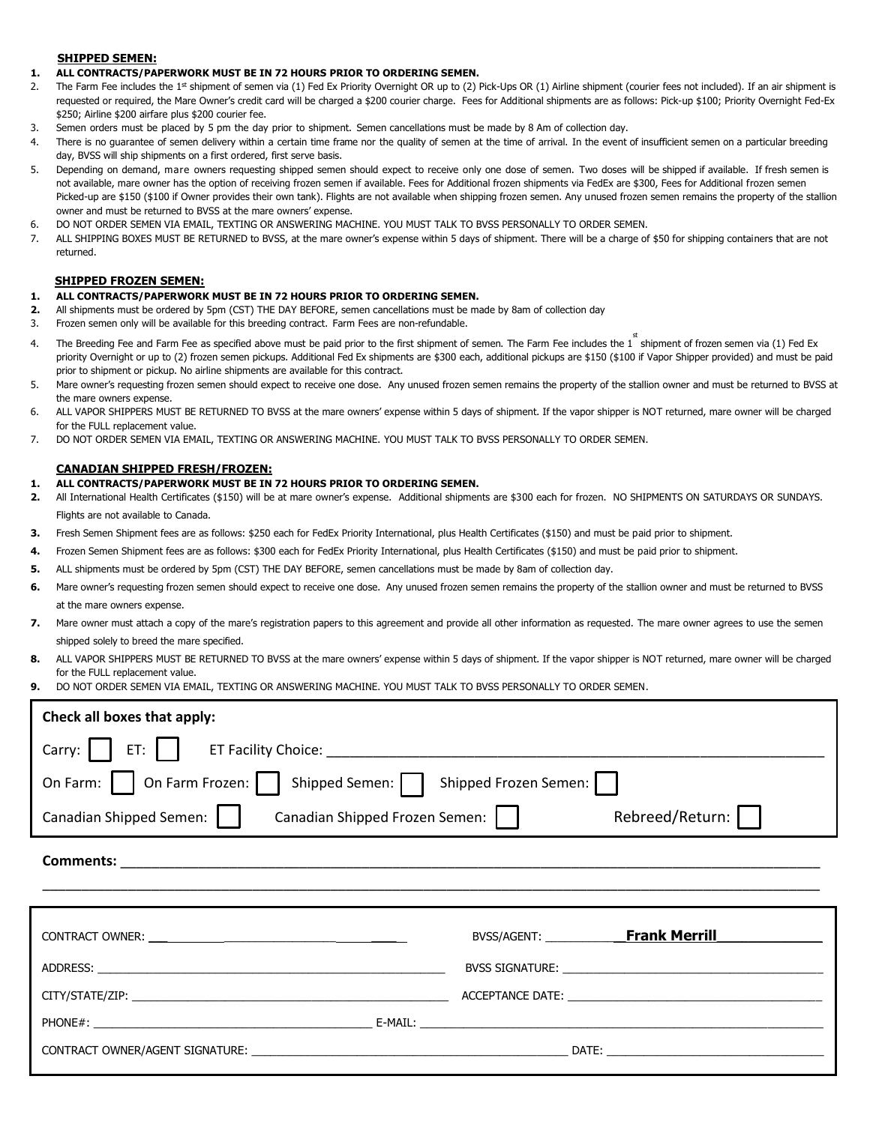#### **SHIPPED SEMEN:**

- **1. ALL CONTRACTS/PAPERWORK MUST BE IN 72 HOURS PRIOR TO ORDERING SEMEN.**
- 2. The Farm Fee includes the 1st shipment of semen via (1) Fed Ex Priority Overnight OR up to (2) Pick-Ups OR (1) Airline shipment (courier fees not included). If an air shipment is requested or required, the Mare Owner's credit card will be charged a \$200 courier charge. Fees for Additional shipments are as follows: Pick-up \$100; Priority Overnight Fed-Ex \$250; Airline \$200 airfare plus \$200 courier fee.
- 3. Semen orders must be placed by 5 pm the day prior to shipment. Semen cancellations must be made by 8 Am of collection day.
- 4. There is no guarantee of semen delivery within a certain time frame nor the quality of semen at the time of arrival. In the event of insufficient semen on a particular breeding day, BVSS will ship shipments on a first ordered, first serve basis.
- 5. Depending on demand, mare owners requesting shipped semen should expect to receive only one dose of semen. Two doses will be shipped if available. If fresh semen is not available, mare owner has the option of receiving frozen semen if available. Fees for Additional frozen shipments via FedEx are \$300, Fees for Additional frozen semen Picked-up are \$150 (\$100 if Owner provides their own tank). Flights are not available when shipping frozen semen. Any unused frozen semen remains the property of the stallion owner and must be returned to BVSS at the mare owners' expense.
- 6. DO NOT ORDER SEMEN VIA EMAIL, TEXTING OR ANSWERING MACHINE. YOU MUST TALK TO BVSS PERSONALLY TO ORDER SEMEN.
- 7. ALL SHIPPING BOXES MUST BE RETURNED to BVSS, at the mare owner's expense within 5 days of shipment. There will be a charge of \$50 for shipping containers that are not returned.

#### **SHIPPED FROZEN SEMEN:**

#### **1. ALL CONTRACTS/PAPERWORK MUST BE IN 72 HOURS PRIOR TO ORDERING SEMEN.**

- **2.** All shipments must be ordered by 5pm (CST) THE DAY BEFORE, semen cancellations must be made by 8am of collection day
- 3. Frozen semen only will be available for this breeding contract. Farm Fees are non-refundable.
- 4. The Breeding Fee and Farm Fee as specified above must be paid prior to the first shipment of semen. The Farm Fee includes the 1 shipment of frozen semen via (1) Fed Ex priority Overnight or up to (2) frozen semen pickups. Additional Fed Ex shipments are \$300 each, additional pickups are \$150 (\$100 if Vapor Shipper provided) and must be paid prior to shipment or pickup. No airline shipments are available for this contract.
- 5. Mare owner's requesting frozen semen should expect to receive one dose. Any unused frozen semen remains the property of the stallion owner and must be returned to BVSS at the mare owners expense.
- 6. ALL VAPOR SHIPPERS MUST BE RETURNED TO BVSS at the mare owners' expense within 5 days of shipment. If the vapor shipper is NOT returned, mare owner will be charged for the FULL replacement value.
- 7. DO NOT ORDER SEMEN VIA EMAIL, TEXTING OR ANSWERING MACHINE. YOU MUST TALK TO BVSS PERSONALLY TO ORDER SEMEN.

#### **CANADIAN SHIPPED FRESH/FROZEN:**

#### **1. ALL CONTRACTS/PAPERWORK MUST BE IN 72 HOURS PRIOR TO ORDERING SEMEN.**

- **2.** All International Health Certificates (\$150) will be at mare owner's expense. Additional shipments are \$300 each for frozen. NO SHIPMENTS ON SATURDAYS OR SUNDAYS. Flights are not available to Canada.
- **3.** Fresh Semen Shipment fees are as follows: \$250 each for FedEx Priority International, plus Health Certificates (\$150) and must be paid prior to shipment.
- **4.** Frozen Semen Shipment fees are as follows: \$300 each for FedEx Priority International, plus Health Certificates (\$150) and must be paid prior to shipment.
- **5.** ALL shipments must be ordered by 5pm (CST) THE DAY BEFORE, semen cancellations must be made by 8am of collection day.
- **6.** Mare owner's requesting frozen semen should expect to receive one dose. Any unused frozen semen remains the property of the stallion owner and must be returned to BVSS at the mare owners expense.
- **7.** Mare owner must attach a copy of the mare's registration papers to this agreement and provide all other information as requested. The mare owner agrees to use the semen shipped solely to breed the mare specified.
- **8.** ALL VAPOR SHIPPERS MUST BE RETURNED TO BVSS at the mare owners' expense within 5 days of shipment. If the vapor shipper is NOT returned, mare owner will be charged for the FULL replacement value.
- **9.** DO NOT ORDER SEMEN VIA EMAIL, TEXTING OR ANSWERING MACHINE. YOU MUST TALK TO BVSS PERSONALLY TO ORDER SEMEN.

PHONE#: \_\_\_\_\_\_\_\_\_\_\_\_\_\_\_\_\_\_\_\_\_\_\_\_\_\_\_\_\_\_\_\_\_\_\_\_\_\_\_\_\_\_\_\_\_ E-MAIL: \_\_\_\_\_\_\_\_\_\_\_\_\_\_\_\_\_\_\_\_\_\_\_\_\_\_\_\_\_\_\_\_\_\_\_\_\_\_\_\_\_\_\_\_\_\_\_\_\_\_\_\_\_\_\_\_\_\_\_\_\_\_\_\_\_

CONTRACT OWNER/AGENT SIGNATURE: \_\_\_\_\_\_\_\_\_\_\_\_\_\_\_\_\_\_\_\_\_\_\_\_\_\_\_\_\_\_\_\_\_\_\_\_\_\_\_\_\_\_\_\_\_\_\_\_\_\_\_ DATE: \_\_\_\_\_\_\_\_\_\_\_\_\_\_\_\_\_\_\_\_\_\_\_\_\_\_\_\_\_\_\_\_\_\_\_

| Check all boxes that apply:                                                                                                                                                                                                    |                                                |
|--------------------------------------------------------------------------------------------------------------------------------------------------------------------------------------------------------------------------------|------------------------------------------------|
|                                                                                                                                                                                                                                |                                                |
| On Farm:     On Farm Frozen:     Shipped Semen:   Shipped Frozen Semen:                                                                                                                                                        |                                                |
| Canadian Shipped Semen:  <br>Canadian Shipped Frozen Semen:                                                                                                                                                                    | Rebreed/Return:                                |
|                                                                                                                                                                                                                                |                                                |
|                                                                                                                                                                                                                                |                                                |
|                                                                                                                                                                                                                                |                                                |
| ADDRESS: AND THE STATE OF THE STATE OF THE STATE OF THE STATE OF THE STATE OF THE STATE OF THE STATE OF THE ST                                                                                                                 | <b>BVSS SIGNATURE: EXAMPLE EXAMPLE EXAMPLE</b> |
| CITY/STATE/ZIP: the contract of the contract of the contract of the contract of the contract of the contract of the contract of the contract of the contract of the contract of the contract of the contract of the contract o | ACCEPTANCE DATE: ACCEPTANCE DATE:              |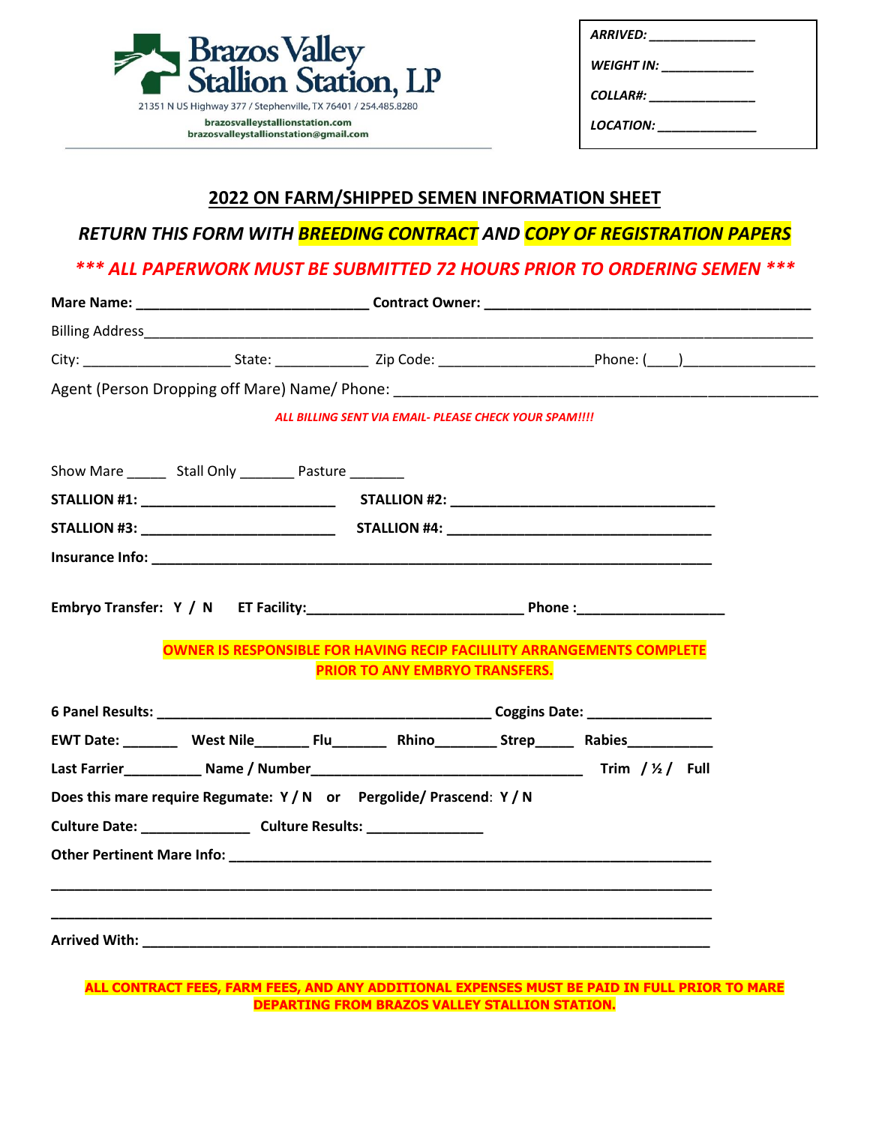| <b>Brazos Valley</b><br><b>Stallion Station, LP</b>                      |
|--------------------------------------------------------------------------|
| 21351 N US Highway 377 / Stephenville, TX 76401 / 254.485.8280           |
| brazosvalleystallionstation.com<br>brazosvalleystallionstation@gmail.com |

| <b>ARRIVED:</b>  |  |
|------------------|--|
| WEIGHT IN:       |  |
| <b>COLLAR#:</b>  |  |
| <i>LOCATION:</i> |  |

## **2022 ON FARM/SHIPPED SEMEN INFORMATION SHEET**

## *RETURN THIS FORM WITH BREEDING CONTRACT AND COPY OF REGISTRATION PAPERS*

### *\*\*\* ALL PAPERWORK MUST BE SUBMITTED 72 HOURS PRIOR TO ORDERING SEMEN \*\*\**

|                                                                                  | ALL BILLING SENT VIA EMAIL- PLEASE CHECK YOUR SPAM!!!! |                                                                                                               |
|----------------------------------------------------------------------------------|--------------------------------------------------------|---------------------------------------------------------------------------------------------------------------|
| Show Mare ________ Stall Only __________ Pasture ________                        |                                                        |                                                                                                               |
|                                                                                  |                                                        |                                                                                                               |
|                                                                                  |                                                        |                                                                                                               |
|                                                                                  |                                                        |                                                                                                               |
|                                                                                  | PRIOR TO ANY EMBRYO TRANSFERS.                         | <b>OWNER IS RESPONSIBLE FOR HAVING RECIP FACILILITY ARRANGEMENTS COMPLETE</b>                                 |
|                                                                                  |                                                        | EWT Date: ___________ West Nile__________ Flu____________ Rhino___________ Strep________ Rabies______________ |
|                                                                                  |                                                        |                                                                                                               |
| Does this mare require Regumate: Y/N or Pergolide/Prascend: Y/N                  |                                                        |                                                                                                               |
|                                                                                  |                                                        |                                                                                                               |
| Culture Date: _________________________ Culture Results: _______________________ |                                                        |                                                                                                               |
|                                                                                  |                                                        |                                                                                                               |
|                                                                                  |                                                        |                                                                                                               |

#### **ALL CONTRACT FEES, FARM FEES, AND ANY ADDITIONAL EXPENSES MUST BE PAID IN FULL PRIOR TO MARE DEPARTING FROM BRAZOS VALLEY STALLION STATION.**